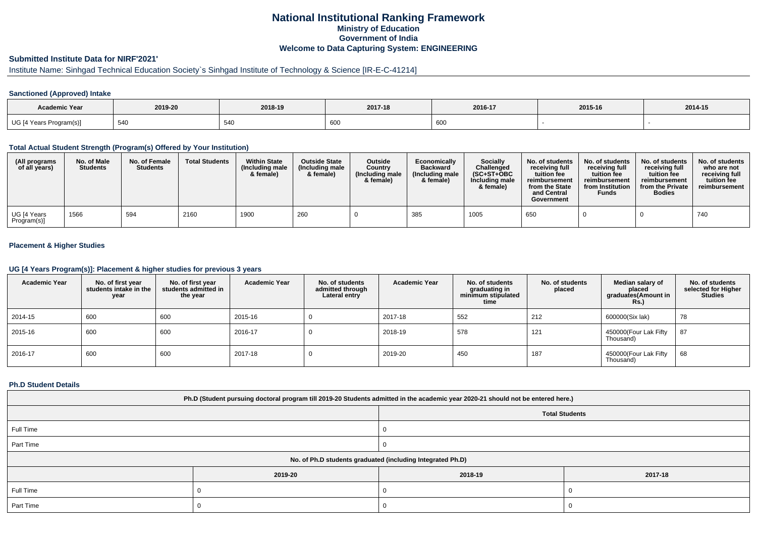# **National Institutional Ranking FrameworkMinistry of Education Government of IndiaWelcome to Data Capturing System: ENGINEERING**

# **Submitted Institute Data for NIRF'2021'**

# Institute Name: Sinhgad Technical Education Society`s Sinhgad Institute of Technology & Science [IR-E-C-41214]

### **Sanctioned (Approved) Intake**

| <b>Academic Year</b>    | 2019-20 | 2018-19 | 2017-18              | 2016-17 | 2015-16 | 2014-15 |
|-------------------------|---------|---------|----------------------|---------|---------|---------|
| UG [4 Years Program(s)] | 540     | 540     | $\sim$<br><b>OUL</b> | 600     |         |         |

#### **Total Actual Student Strength (Program(s) Offered by Your Institution)**

| (All programs<br>of all years) | No. of Male<br><b>Students</b> | No. of Female<br><b>Students</b> | <b>Total Students</b> | <b>Within State</b><br>(Including male<br>& female) | <b>Outside State</b><br>(Including male<br>& female) | <b>Outside</b><br>Country<br>(Including male<br>& female) | Economically<br><b>Backward</b><br>(Including male<br>& female) | <b>Socially</b><br>Challenged<br>$(SC+ST+OBC)$<br>Including male<br>& female) | No. of students<br>receiving full<br>tuition fee<br>reimbursement<br>from the State<br>and Central<br>Government | No. of students<br>receiving full<br>tuition fee<br>reimbursement<br>from Institution<br>Funds | No. of students<br>receiving full<br>tuition fee<br>reimbursement<br>from the Private<br><b>Bodies</b> | No. of students<br>who are not<br>receiving full<br>tuition fee<br>reimbursement |
|--------------------------------|--------------------------------|----------------------------------|-----------------------|-----------------------------------------------------|------------------------------------------------------|-----------------------------------------------------------|-----------------------------------------------------------------|-------------------------------------------------------------------------------|------------------------------------------------------------------------------------------------------------------|------------------------------------------------------------------------------------------------|--------------------------------------------------------------------------------------------------------|----------------------------------------------------------------------------------|
| UG [4 Years<br>Program(s)]     | 1566                           | 594                              | 2160                  | 1900                                                | 260                                                  |                                                           | 385                                                             | 1005                                                                          | 650                                                                                                              |                                                                                                |                                                                                                        | 740                                                                              |

## **Placement & Higher Studies**

#### **UG [4 Years Program(s)]: Placement & higher studies for previous 3 years**

| <b>Academic Year</b> | No. of first year<br>students intake in the<br>year | No. of first year<br>students admitted in<br>the year | <b>Academic Year</b> | No. of students<br>admitted through<br>Lateral entry | <b>Academic Year</b> | No. of students<br>graduating in<br>minimum stipulated<br>time | No. of students<br>placed | Median salary of<br>placed<br>graduates(Amount in<br><b>Rs.)</b> | No. of students<br>selected for Higher<br><b>Studies</b> |
|----------------------|-----------------------------------------------------|-------------------------------------------------------|----------------------|------------------------------------------------------|----------------------|----------------------------------------------------------------|---------------------------|------------------------------------------------------------------|----------------------------------------------------------|
| 2014-15              | 600                                                 | 600                                                   | 2015-16              |                                                      | 2017-18              | 552                                                            | 212                       | 600000(Six lak)                                                  | 78                                                       |
| 2015-16              | 600                                                 | 600                                                   | 2016-17              |                                                      | 2018-19              | 578                                                            | 121                       | 450000(Four Lak Fifty<br>Thousand)                               | 87                                                       |
| 2016-17              | 600                                                 | 600                                                   | 2017-18              |                                                      | 2019-20              | 450                                                            | 187                       | 450000(Four Lak Fifty<br>Thousand)                               | 68                                                       |

#### **Ph.D Student Details**

| Ph.D (Student pursuing doctoral program till 2019-20 Students admitted in the academic year 2020-21 should not be entered here.) |         |         |         |  |  |  |  |  |
|----------------------------------------------------------------------------------------------------------------------------------|---------|---------|---------|--|--|--|--|--|
| <b>Total Students</b>                                                                                                            |         |         |         |  |  |  |  |  |
| Full Time                                                                                                                        |         |         |         |  |  |  |  |  |
| Part Time                                                                                                                        |         |         |         |  |  |  |  |  |
| No. of Ph.D students graduated (including Integrated Ph.D)                                                                       |         |         |         |  |  |  |  |  |
|                                                                                                                                  | 2019-20 | 2018-19 | 2017-18 |  |  |  |  |  |
| Full Time                                                                                                                        |         |         |         |  |  |  |  |  |
| Part Time                                                                                                                        |         |         |         |  |  |  |  |  |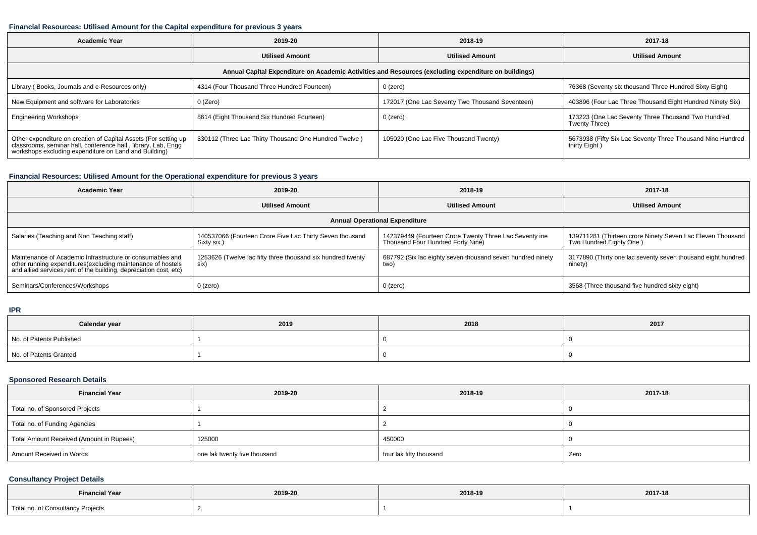### **Financial Resources: Utilised Amount for the Capital expenditure for previous 3 years**

| <b>Academic Year</b>                                                                                                                                                                   | 2019-20                                               | 2018-19                                         | 2017-18                                                                     |  |  |  |  |  |  |
|----------------------------------------------------------------------------------------------------------------------------------------------------------------------------------------|-------------------------------------------------------|-------------------------------------------------|-----------------------------------------------------------------------------|--|--|--|--|--|--|
|                                                                                                                                                                                        | <b>Utilised Amount</b>                                | <b>Utilised Amount</b>                          | <b>Utilised Amount</b>                                                      |  |  |  |  |  |  |
| Annual Capital Expenditure on Academic Activities and Resources (excluding expenditure on buildings)                                                                                   |                                                       |                                                 |                                                                             |  |  |  |  |  |  |
| Library (Books, Journals and e-Resources only)                                                                                                                                         | 4314 (Four Thousand Three Hundred Fourteen)           | 0 (zero)                                        | 76368 (Seventy six thousand Three Hundred Sixty Eight)                      |  |  |  |  |  |  |
| New Equipment and software for Laboratories                                                                                                                                            | 0 (Zero)                                              | 172017 (One Lac Seventy Two Thousand Seventeen) | 403896 (Four Lac Three Thousand Eight Hundred Ninety Six)                   |  |  |  |  |  |  |
| <b>Engineering Workshops</b>                                                                                                                                                           | 8614 (Eight Thousand Six Hundred Fourteen)            | 0 (zero)                                        | 173223 (One Lac Seventy Three Thousand Two Hundred<br>Twenty Three)         |  |  |  |  |  |  |
| Other expenditure on creation of Capital Assets (For setting up classrooms, seminar hall, conference hall, library, Lab, Engg<br>workshops excluding expenditure on Land and Building) | 330112 (Three Lac Thirty Thousand One Hundred Twelve) | 105020 (One Lac Five Thousand Twenty)           | 5673938 (Fifty Six Lac Seventy Three Thousand Nine Hundred<br>thirty Eight) |  |  |  |  |  |  |

## **Financial Resources: Utilised Amount for the Operational expenditure for previous 3 years**

| <b>Academic Year</b>                                                                                                                                                                            | 2019-20                                                                | 2018-19                                                                                     | 2017-18                                                                               |  |  |  |  |  |  |
|-------------------------------------------------------------------------------------------------------------------------------------------------------------------------------------------------|------------------------------------------------------------------------|---------------------------------------------------------------------------------------------|---------------------------------------------------------------------------------------|--|--|--|--|--|--|
|                                                                                                                                                                                                 | <b>Utilised Amount</b>                                                 | <b>Utilised Amount</b>                                                                      | <b>Utilised Amount</b>                                                                |  |  |  |  |  |  |
| <b>Annual Operational Expenditure</b>                                                                                                                                                           |                                                                        |                                                                                             |                                                                                       |  |  |  |  |  |  |
| Salaries (Teaching and Non Teaching staff)                                                                                                                                                      | 140537066 (Fourteen Crore Five Lac Thirty Seven thousand<br>Sixty six) | 142379449 (Fourteen Crore Twenty Three Lac Seventy ine<br>Thousand Four Hundred Forty Nine) | 139711281 (Thirteen crore Ninety Seven Lac Eleven Thousand<br>Two Hundred Eighty One) |  |  |  |  |  |  |
| Maintenance of Academic Infrastructure or consumables and<br>other running expenditures (excluding maintenance of hostels<br>and allied services, rent of the building, depreciation cost, etc) | 1253626 (Twelve lac fifty three thousand six hundred twenty<br>six)    | 687792 (Six lac eighty seven thousand seven hundred ninety<br>two)                          | 3177890 (Thirty one lac seventy seven thousand eight hundred<br>ninety)               |  |  |  |  |  |  |
| Seminars/Conferences/Workshops                                                                                                                                                                  | $0$ (zero)                                                             | $0$ (zero)                                                                                  | 3568 (Three thousand five hundred sixty eight)                                        |  |  |  |  |  |  |

#### **IPR**

| Calendar year            | 2019 | 2018 | 2017 |  |  |
|--------------------------|------|------|------|--|--|
| No. of Patents Published |      |      |      |  |  |
| No. of Patents Granted   |      |      |      |  |  |

## **Sponsored Research Details**

| <b>Financial Year</b>                    | 2019-20                      | 2018-19                 | 2017-18 |
|------------------------------------------|------------------------------|-------------------------|---------|
| Total no. of Sponsored Projects          |                              |                         |         |
| Total no. of Funding Agencies            |                              |                         | -0      |
| Total Amount Received (Amount in Rupees) | 125000                       | 450000                  |         |
| Amount Received in Words                 | one lak twenty five thousand | four lak fifty thousand | Zero    |

## **Consultancy Project Details**

| <b>Financial Year</b>                                           | 2019-20 | 2018-19 | 2017-18 |
|-----------------------------------------------------------------|---------|---------|---------|
| Total n<br>onsultancy Projects<br>∪υπουπαπυγ τ<br>$\sim$ $\sim$ |         |         |         |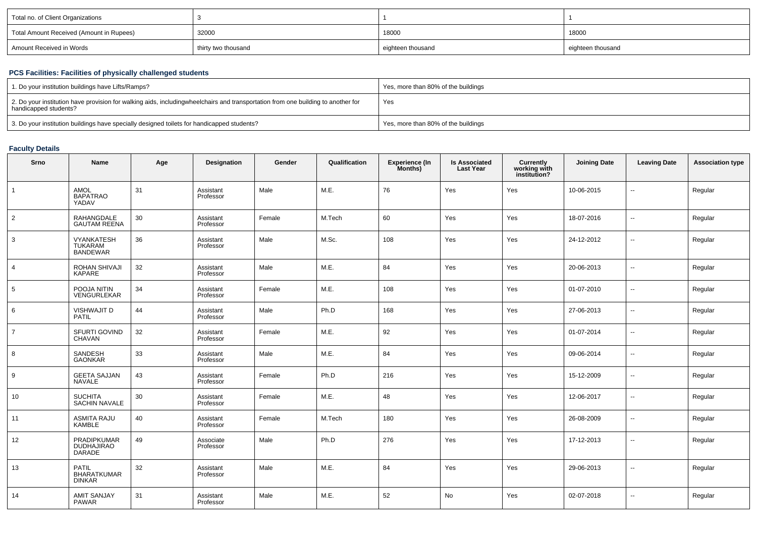| Total no. of Client Organizations        |                     |                   |                   |
|------------------------------------------|---------------------|-------------------|-------------------|
| Total Amount Received (Amount in Rupees) | 32000               | 18000             | 18000             |
| Amount Received in Words                 | thirty two thousand | eighteen thousand | eighteen thousand |

## **PCS Facilities: Facilities of physically challenged students**

| 1. Do your institution buildings have Lifts/Ramps?                                                                                                        | Yes, more than 80% of the buildings |
|-----------------------------------------------------------------------------------------------------------------------------------------------------------|-------------------------------------|
| 2. Do your institution have provision for walking aids, includingwheelchairs and transportation from one building to another for<br>handicapped students? | Yes                                 |
| 3. Do your institution buildings have specially designed toilets for handicapped students?                                                                | Yes, more than 80% of the buildings |

## **Faculty Details**

| Srno           | Name                                                | Age    | Designation            | Gender | Qualification | <b>Experience (In</b><br>Months) | <b>Is Associated</b><br><b>Last Year</b> | Currently<br>working with<br>institution? | <b>Joining Date</b> | <b>Leaving Date</b>      | <b>Association type</b> |
|----------------|-----------------------------------------------------|--------|------------------------|--------|---------------|----------------------------------|------------------------------------------|-------------------------------------------|---------------------|--------------------------|-------------------------|
| $\mathbf{1}$   | AMOL<br><b>BAPATRAO</b><br>YADAV                    | 31     | Assistant<br>Professor | Male   | M.E.          | 76                               | Yes                                      | Yes                                       | 10-06-2015          | $\overline{\phantom{a}}$ | Regular                 |
| $\overline{2}$ | RAHANGDALE<br>GAUTAM REENA                          | $30\,$ | Assistant<br>Professor | Female | M.Tech        | 60                               | Yes                                      | Yes                                       | 18-07-2016          | $\ddotsc$                | Regular                 |
| $\mathbf{3}$   | <b>VYANKATESH</b><br>TUKARAM<br><b>BANDEWAR</b>     | 36     | Assistant<br>Professor | Male   | M.Sc.         | 108                              | Yes                                      | Yes                                       | 24-12-2012          | $\overline{\phantom{a}}$ | Regular                 |
| $\overline{4}$ | ROHAN SHIVAJI<br><b>KAPARE</b>                      | 32     | Assistant<br>Professor | Male   | M.E.          | 84                               | Yes                                      | Yes                                       | 20-06-2013          | ⊷                        | Regular                 |
| $\sqrt{5}$     | POOJA NITIN<br>VENGURLEKAR                          | 34     | Assistant<br>Professor | Female | M.E.          | 108                              | Yes                                      | Yes                                       | 01-07-2010          | $\overline{\phantom{a}}$ | Regular                 |
| 6              | VISHWAJIT D<br>PATIL                                | 44     | Assistant<br>Professor | Male   | Ph.D          | 168                              | Yes                                      | Yes                                       | 27-06-2013          | $\overline{\phantom{a}}$ | Regular                 |
| $\overline{7}$ | SFURTI GOVIND<br>CHAVAN                             | 32     | Assistant<br>Professor | Female | M.E.          | 92                               | Yes                                      | Yes                                       | 01-07-2014          | н.                       | Regular                 |
| $\bf8$         | SANDESH<br><b>GAONKAR</b>                           | 33     | Assistant<br>Professor | Male   | M.E.          | 84                               | Yes                                      | Yes                                       | 09-06-2014          | $\overline{\phantom{a}}$ | Regular                 |
| 9              | <b>GEETA SAJJAN</b><br><b>NAVALE</b>                | 43     | Assistant<br>Professor | Female | Ph.D          | 216                              | Yes                                      | Yes                                       | 15-12-2009          | $\overline{\phantom{a}}$ | Regular                 |
| 10             | <b>SUCHITA</b><br><b>SACHIN NAVALE</b>              | 30     | Assistant<br>Professor | Female | M.E.          | 48                               | Yes                                      | Yes                                       | 12-06-2017          | $\overline{\phantom{a}}$ | Regular                 |
| 11             | <b>ASMITA RAJU</b><br>KAMBLE                        | 40     | Assistant<br>Professor | Female | M.Tech        | 180                              | Yes                                      | Yes                                       | 26-08-2009          | $\sim$                   | Regular                 |
| 12             | PRADIPKUMAR<br>DUDHAJIRAO<br><b>DARADE</b>          | 49     | Associate<br>Professor | Male   | Ph.D          | 276                              | Yes                                      | Yes                                       | 17-12-2013          | $\overline{\phantom{a}}$ | Regular                 |
| 13             | <b>PATIL</b><br><b>BHARATKUMAR</b><br><b>DINKAR</b> | 32     | Assistant<br>Professor | Male   | M.E.          | 84                               | Yes                                      | Yes                                       | 29-06-2013          | $\overline{a}$           | Regular                 |
| 14             | <b>AMIT SANJAY</b><br><b>PAWAR</b>                  | 31     | Assistant<br>Professor | Male   | M.E.          | 52                               | No                                       | Yes                                       | 02-07-2018          | $\overline{\phantom{a}}$ | Regular                 |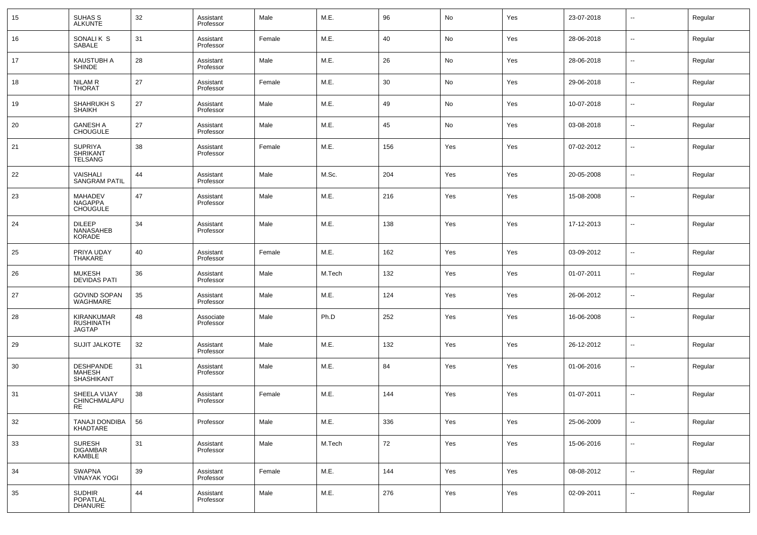| 15 | SUHAS S<br>ALKUNTE                                  | 32 | Assistant<br>Professor | Male   | M.E.   | 96  | No  | Yes | 23-07-2018 | $\sim$                   | Regular |
|----|-----------------------------------------------------|----|------------------------|--------|--------|-----|-----|-----|------------|--------------------------|---------|
| 16 | SONALIK S<br><b>SABALE</b>                          | 31 | Assistant<br>Professor | Female | M.E.   | 40  | No  | Yes | 28-06-2018 | $\sim$                   | Regular |
| 17 | KAUSTUBH A<br><b>SHINDE</b>                         | 28 | Assistant<br>Professor | Male   | M.E.   | 26  | No  | Yes | 28-06-2018 | $\sim$                   | Regular |
| 18 | <b>NILAM R</b><br><b>THORAT</b>                     | 27 | Assistant<br>Professor | Female | M.E.   | 30  | No  | Yes | 29-06-2018 | $\sim$                   | Regular |
| 19 | SHAHRUKH S<br><b>SHAIKH</b>                         | 27 | Assistant<br>Professor | Male   | M.E.   | 49  | No  | Yes | 10-07-2018 | $\sim$                   | Regular |
| 20 | <b>GANESH A</b><br><b>CHOUGULE</b>                  | 27 | Assistant<br>Professor | Male   | M.E.   | 45  | No  | Yes | 03-08-2018 | --                       | Regular |
| 21 | <b>SUPRIYA</b><br><b>SHRIKANT</b><br><b>TELSANG</b> | 38 | Assistant<br>Professor | Female | M.E.   | 156 | Yes | Yes | 07-02-2012 | --                       | Regular |
| 22 | VAISHALI<br><b>SANGRAM PATIL</b>                    | 44 | Assistant<br>Professor | Male   | M.Sc.  | 204 | Yes | Yes | 20-05-2008 | --                       | Regular |
| 23 | <b>MAHADEV</b><br><b>NAGAPPA</b><br><b>CHOUGULE</b> | 47 | Assistant<br>Professor | Male   | M.E.   | 216 | Yes | Yes | 15-08-2008 | ш.                       | Regular |
| 24 | <b>DILEEP</b><br>NANASAHEB<br>KORADE                | 34 | Assistant<br>Professor | Male   | M.E.   | 138 | Yes | Yes | 17-12-2013 | --                       | Regular |
| 25 | PRIYA UDAY<br>THAKARE                               | 40 | Assistant<br>Professor | Female | M.E.   | 162 | Yes | Yes | 03-09-2012 | --                       | Regular |
| 26 | <b>MUKESH</b><br><b>DEVIDAS PATI</b>                | 36 | Assistant<br>Professor | Male   | M.Tech | 132 | Yes | Yes | 01-07-2011 | $\overline{\phantom{a}}$ | Regular |
| 27 | <b>GOVIND SOPAN</b><br>WAGHMARE                     | 35 | Assistant<br>Professor | Male   | M.E.   | 124 | Yes | Yes | 26-06-2012 | $\overline{\phantom{a}}$ | Regular |
| 28 | KIRANKUMAR<br>RUSHINATH<br><b>JAGTAP</b>            | 48 | Associate<br>Professor | Male   | Ph.D   | 252 | Yes | Yes | 16-06-2008 | --                       | Regular |
| 29 | <b>SUJIT JALKOTE</b>                                | 32 | Assistant<br>Professor | Male   | M.E.   | 132 | Yes | Yes | 26-12-2012 | $\overline{a}$           | Regular |
| 30 | DESHPANDE<br><b>MAHESH</b><br><b>SHASHIKANT</b>     | 31 | Assistant<br>Professor | Male   | M.E.   | 84  | Yes | Yes | 01-06-2016 | $\sim$                   | Regular |
| 31 | SHEELA VIJAY<br>CHINCHMALAPU<br>RE                  | 38 | Assistant<br>Professor | Female | M.E.   | 144 | Yes | Yes | 01-07-2011 | --                       | Regular |
| 32 | <b>TANAJI DONDIBA</b><br>KHADTARE                   | 56 | Professor              | Male   | M.E.   | 336 | Yes | Yes | 25-06-2009 | $\sim$                   | Regular |
| 33 | SURESH<br>DIGAMBAR<br>KAMBLE                        | 31 | Assistant<br>Professor | Male   | M.Tech | 72  | Yes | Yes | 15-06-2016 | $\sim$                   | Regular |
| 34 | SWAPNA<br><b>VINAYAK YOGI</b>                       | 39 | Assistant<br>Professor | Female | M.E.   | 144 | Yes | Yes | 08-08-2012 | $\overline{\phantom{a}}$ | Regular |
| 35 | <b>SUDHIR</b><br>POPATLAL<br><b>DHANURE</b>         | 44 | Assistant<br>Professor | Male   | M.E.   | 276 | Yes | Yes | 02-09-2011 | $\overline{\phantom{a}}$ | Regular |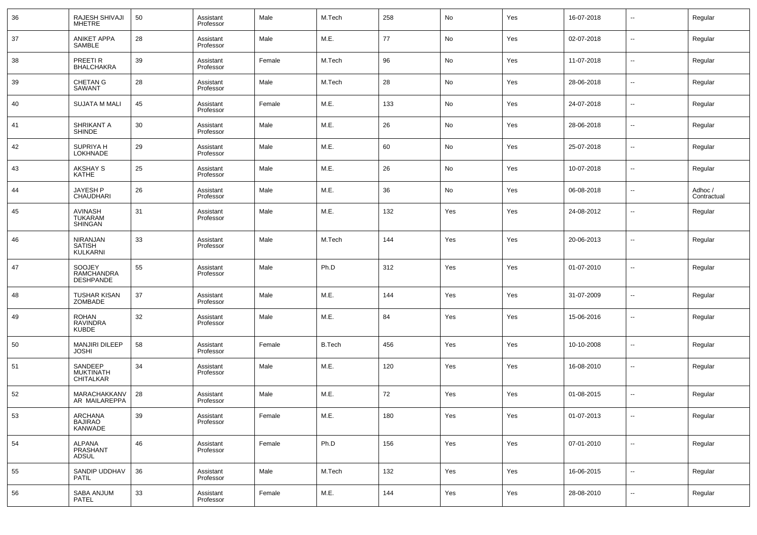| 36 | RAJESH SHIVAJI<br>MHETRE                            | 50 | Assistant<br>Professor | Male   | M.Tech        | 258 | No  | Yes | 16-07-2018 | $\sim$                   | Regular                |
|----|-----------------------------------------------------|----|------------------------|--------|---------------|-----|-----|-----|------------|--------------------------|------------------------|
| 37 | <b>ANIKET APPA</b><br><b>SAMBLE</b>                 | 28 | Assistant<br>Professor | Male   | M.E.          | 77  | No  | Yes | 02-07-2018 | $\overline{\phantom{a}}$ | Regular                |
| 38 | PREETI <sub>R</sub><br><b>BHALCHAKRA</b>            | 39 | Assistant<br>Professor | Female | M.Tech        | 96  | No  | Yes | 11-07-2018 | $\sim$                   | Regular                |
| 39 | <b>CHETAN G</b><br>SAWANT                           | 28 | Assistant<br>Professor | Male   | M.Tech        | 28  | No  | Yes | 28-06-2018 | $\sim$                   | Regular                |
| 40 | <b>SUJATA M MALI</b>                                | 45 | Assistant<br>Professor | Female | M.E.          | 133 | No  | Yes | 24-07-2018 | $\sim$                   | Regular                |
| 41 | SHRIKANT A<br><b>SHINDE</b>                         | 30 | Assistant<br>Professor | Male   | M.E.          | 26  | No  | Yes | 28-06-2018 | $\sim$                   | Regular                |
| 42 | <b>SUPRIYA H</b><br>LOKHNADE                        | 29 | Assistant<br>Professor | Male   | M.E.          | 60  | No  | Yes | 25-07-2018 | $\overline{\phantom{a}}$ | Regular                |
| 43 | AKSHAY S<br><b>KATHE</b>                            | 25 | Assistant<br>Professor | Male   | M.E.          | 26  | No  | Yes | 10-07-2018 | $\sim$                   | Regular                |
| 44 | JAYESH P<br><b>CHAUDHARI</b>                        | 26 | Assistant<br>Professor | Male   | M.E.          | 36  | No  | Yes | 06-08-2018 | $\overline{\phantom{a}}$ | Adhoc /<br>Contractual |
| 45 | <b>AVINASH</b><br><b>TUKARAM</b><br><b>SHINGAN</b>  | 31 | Assistant<br>Professor | Male   | M.E.          | 132 | Yes | Yes | 24-08-2012 | --                       | Regular                |
| 46 | <b>NIRANJAN</b><br><b>SATISH</b><br><b>KULKARNI</b> | 33 | Assistant<br>Professor | Male   | M.Tech        | 144 | Yes | Yes | 20-06-2013 | --                       | Regular                |
| 47 | SOOJEY<br>RAMCHANDRA<br>DESHPANDE                   | 55 | Assistant<br>Professor | Male   | Ph.D          | 312 | Yes | Yes | 01-07-2010 | --                       | Regular                |
| 48 | <b>TUSHAR KISAN</b><br>ZOMBADE                      | 37 | Assistant<br>Professor | Male   | M.E.          | 144 | Yes | Yes | 31-07-2009 | $\sim$                   | Regular                |
| 49 | <b>ROHAN</b><br>RAVINDRA<br><b>KUBDE</b>            | 32 | Assistant<br>Professor | Male   | M.E.          | 84  | Yes | Yes | 15-06-2016 | $\overline{\phantom{a}}$ | Regular                |
| 50 | <b>MANJIRI DILEEP</b><br><b>JOSHI</b>               | 58 | Assistant<br>Professor | Female | <b>B.Tech</b> | 456 | Yes | Yes | 10-10-2008 | $\overline{a}$           | Regular                |
| 51 | SANDEEP<br><b>MUKTINATH</b><br><b>CHITALKAR</b>     | 34 | Assistant<br>Professor | Male   | M.E.          | 120 | Yes | Yes | 16-08-2010 | $\sim$                   | Regular                |
| 52 | MARACHAKKANV<br>AR MAILAREPPA                       | 28 | Assistant<br>Professor | Male   | M.E.          | 72  | Yes | Yes | 01-08-2015 | --                       | Regular                |
| 53 | ARCHANA<br>BAJIRAO<br>KANWADE                       | 39 | Assistant<br>Professor | Female | M.E.          | 180 | Yes | Yes | 01-07-2013 | $\sim$                   | Regular                |
| 54 | ALPANA<br>PRASHANT<br>ADSUL                         | 46 | Assistant<br>Professor | Female | Ph.D          | 156 | Yes | Yes | 07-01-2010 | $\overline{\phantom{a}}$ | Regular                |
| 55 | SANDIP UDDHAV<br>PATIL                              | 36 | Assistant<br>Professor | Male   | M.Tech        | 132 | Yes | Yes | 16-06-2015 | $\sim$                   | Regular                |
| 56 | SABA ANJUM<br>PATEL                                 | 33 | Assistant<br>Professor | Female | M.E.          | 144 | Yes | Yes | 28-08-2010 | $\sim$                   | Regular                |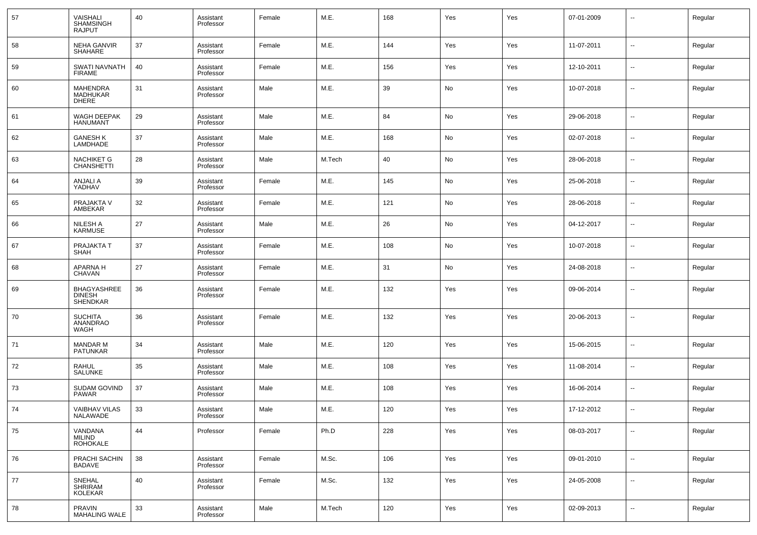| 57 | VAISHALI<br><b>SHAMSINGH</b><br>RAJPUT                 | 40 | Assistant<br>Professor | Female | M.E.   | 168 | Yes | Yes | 07-01-2009 | --                       | Regular |
|----|--------------------------------------------------------|----|------------------------|--------|--------|-----|-----|-----|------------|--------------------------|---------|
| 58 | <b>NEHA GANVIR</b><br><b>SHAHARE</b>                   | 37 | Assistant<br>Professor | Female | M.E.   | 144 | Yes | Yes | 11-07-2011 | $\overline{a}$           | Regular |
| 59 | SWATI NAVNATH<br><b>FIRAME</b>                         | 40 | Assistant<br>Professor | Female | M.E.   | 156 | Yes | Yes | 12-10-2011 | $\overline{a}$           | Regular |
| 60 | <b>MAHENDRA</b><br>MADHUKAR<br><b>DHERE</b>            | 31 | Assistant<br>Professor | Male   | M.E.   | 39  | No  | Yes | 10-07-2018 | --                       | Regular |
| 61 | WAGH DEEPAK<br><b>HANUMANT</b>                         | 29 | Assistant<br>Professor | Male   | M.E.   | 84  | No  | Yes | 29-06-2018 | --                       | Regular |
| 62 | <b>GANESH K</b><br>LAMDHADE                            | 37 | Assistant<br>Professor | Male   | M.E.   | 168 | No  | Yes | 02-07-2018 | --                       | Regular |
| 63 | <b>NACHIKET G</b><br><b>CHANSHETTI</b>                 | 28 | Assistant<br>Professor | Male   | M.Tech | 40  | No  | Yes | 28-06-2018 | --                       | Regular |
| 64 | <b>ANJALI A</b><br>YADHAV                              | 39 | Assistant<br>Professor | Female | M.E.   | 145 | No  | Yes | 25-06-2018 | --                       | Regular |
| 65 | PRAJAKTA V<br>AMBEKAR                                  | 32 | Assistant<br>Professor | Female | M.E.   | 121 | No  | Yes | 28-06-2018 | --                       | Regular |
| 66 | NILESH A<br><b>KARMUSE</b>                             | 27 | Assistant<br>Professor | Male   | M.E.   | 26  | No  | Yes | 04-12-2017 | --                       | Regular |
| 67 | PRAJAKTA T<br><b>SHAH</b>                              | 37 | Assistant<br>Professor | Female | M.E.   | 108 | No  | Yes | 10-07-2018 | --                       | Regular |
| 68 | APARNA H<br><b>CHAVAN</b>                              | 27 | Assistant<br>Professor | Female | M.E.   | 31  | No  | Yes | 24-08-2018 | --                       | Regular |
| 69 | <b>BHAGYASHREE</b><br><b>DINESH</b><br><b>SHENDKAR</b> | 36 | Assistant<br>Professor | Female | M.E.   | 132 | Yes | Yes | 09-06-2014 | --                       | Regular |
| 70 | <b>SUCHITA</b><br>ANANDRAO<br>WAGH                     | 36 | Assistant<br>Professor | Female | M.E.   | 132 | Yes | Yes | 20-06-2013 | --                       | Regular |
| 71 | <b>MANDAR M</b><br>PATUNKAR                            | 34 | Assistant<br>Professor | Male   | M.E.   | 120 | Yes | Yes | 15-06-2015 | --                       | Regular |
| 72 | RAHUL<br>SALUNKE                                       | 35 | Assistant<br>Professor | Male   | M.E.   | 108 | Yes | Yes | 11-08-2014 | --                       | Regular |
| 73 | SUDAM GOVIND<br><b>PAWAR</b>                           | 37 | Assistant<br>Professor | Male   | M.E.   | 108 | Yes | Yes | 16-06-2014 | --                       | Regular |
| 74 | <b>VAIBHAV VILAS</b><br><b>NALAWADE</b>                | 33 | Assistant<br>Professor | Male   | M.E.   | 120 | Yes | Yes | 17-12-2012 | н.                       | Regular |
| 75 | VANDANA<br>MILIND<br><b>ROHOKALE</b>                   | 44 | Professor              | Female | Ph.D   | 228 | Yes | Yes | 08-03-2017 | $\sim$                   | Regular |
| 76 | PRACHI SACHIN<br><b>BADAVE</b>                         | 38 | Assistant<br>Professor | Female | M.Sc.  | 106 | Yes | Yes | 09-01-2010 | $\sim$                   | Regular |
| 77 | SNEHAL<br>SHRIRAM<br>KOLEKAR                           | 40 | Assistant<br>Professor | Female | M.Sc.  | 132 | Yes | Yes | 24-05-2008 | $\sim$                   | Regular |
| 78 | <b>PRAVIN</b><br>MAHALING WALE                         | 33 | Assistant<br>Professor | Male   | M.Tech | 120 | Yes | Yes | 02-09-2013 | $\overline{\phantom{a}}$ | Regular |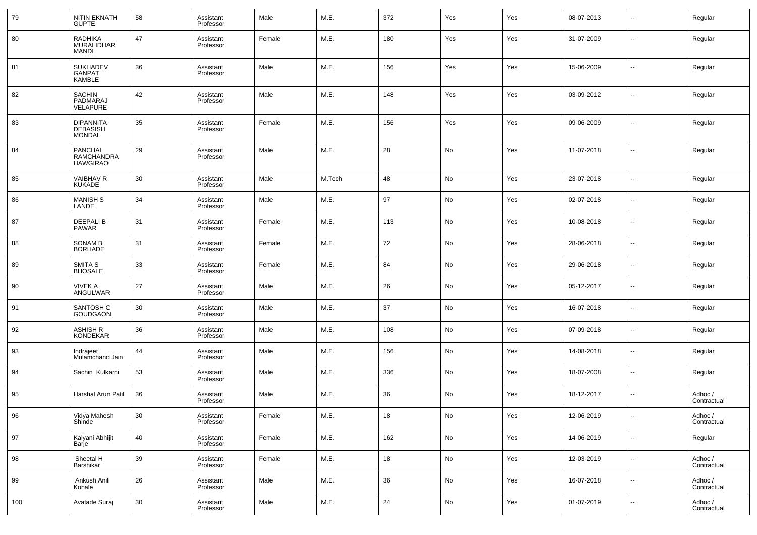| 79  | NITIN EKNATH<br>GUPTE                                | 58 | Assistant<br>Professor | Male   | M.E.   | 372 | Yes | Yes | 08-07-2013 | $\overline{\phantom{a}}$ | Regular                |
|-----|------------------------------------------------------|----|------------------------|--------|--------|-----|-----|-----|------------|--------------------------|------------------------|
| 80  | RADHIKA<br>MURALIDHAR<br><b>MANDI</b>                | 47 | Assistant<br>Professor | Female | M.E.   | 180 | Yes | Yes | 31-07-2009 | $\overline{\phantom{a}}$ | Regular                |
| 81  | <b>SUKHADEV</b><br><b>GANPAT</b><br><b>KAMBLE</b>    | 36 | Assistant<br>Professor | Male   | M.E.   | 156 | Yes | Yes | 15-06-2009 | $\sim$                   | Regular                |
| 82  | SACHIN<br>PADMARAJ<br>VELAPURE                       | 42 | Assistant<br>Professor | Male   | M.E.   | 148 | Yes | Yes | 03-09-2012 | $\overline{\phantom{a}}$ | Regular                |
| 83  | <b>DIPANNITA</b><br><b>DEBASISH</b><br><b>MONDAL</b> | 35 | Assistant<br>Professor | Female | M.E.   | 156 | Yes | Yes | 09-06-2009 | $\overline{\phantom{a}}$ | Regular                |
| 84  | PANCHAL<br><b>RAMCHANDRA</b><br><b>HAWGIRAO</b>      | 29 | Assistant<br>Professor | Male   | M.E.   | 28  | No  | Yes | 11-07-2018 | $\overline{\phantom{a}}$ | Regular                |
| 85  | VAIBHAV R<br>KUKADE                                  | 30 | Assistant<br>Professor | Male   | M.Tech | 48  | No  | Yes | 23-07-2018 | $\overline{\phantom{a}}$ | Regular                |
| 86  | MANISH S<br>LANDE                                    | 34 | Assistant<br>Professor | Male   | M.E.   | 97  | No  | Yes | 02-07-2018 | $\overline{\phantom{a}}$ | Regular                |
| 87  | <b>DEEPALIB</b><br><b>PAWAR</b>                      | 31 | Assistant<br>Professor | Female | M.E.   | 113 | No  | Yes | 10-08-2018 | $\overline{\phantom{a}}$ | Regular                |
| 88  | SONAM B<br>BORHADE                                   | 31 | Assistant<br>Professor | Female | M.E.   | 72  | No  | Yes | 28-06-2018 | $\overline{\phantom{a}}$ | Regular                |
| 89  | SMITA S<br>BHOSALE                                   | 33 | Assistant<br>Professor | Female | M.E.   | 84  | No  | Yes | 29-06-2018 | $\overline{\phantom{a}}$ | Regular                |
| 90  | <b>VIVEK A</b><br>ANGULWAR                           | 27 | Assistant<br>Professor | Male   | M.E.   | 26  | No  | Yes | 05-12-2017 | $\overline{\phantom{a}}$ | Regular                |
| 91  | SANTOSH C<br><b>GOUDGAON</b>                         | 30 | Assistant<br>Professor | Male   | M.E.   | 37  | No  | Yes | 16-07-2018 | $\overline{\phantom{a}}$ | Regular                |
| 92  | ASHISH R<br><b>KONDEKAR</b>                          | 36 | Assistant<br>Professor | Male   | M.E.   | 108 | No  | Yes | 07-09-2018 | $\overline{\phantom{a}}$ | Regular                |
| 93  | Indrajeet<br>Mulamchand Jain                         | 44 | Assistant<br>Professor | Male   | M.E.   | 156 | No  | Yes | 14-08-2018 | $\overline{\phantom{a}}$ | Regular                |
| 94  | Sachin Kulkarni                                      | 53 | Assistant<br>Professor | Male   | M.E.   | 336 | No  | Yes | 18-07-2008 | $\overline{\phantom{a}}$ | Regular                |
| 95  | Harshal Arun Patil                                   | 36 | Assistant<br>Professor | Male   | M.E.   | 36  | No  | Yes | 18-12-2017 | $\overline{\phantom{a}}$ | Adhoc /<br>Contractual |
| 96  | Vidya Mahesh<br>Shinde                               | 30 | Assistant<br>Professor | Female | M.E.   | 18  | No  | Yes | 12-06-2019 | $\overline{\phantom{a}}$ | Adhoc /<br>Contractual |
| 97  | Kalyani Abhijit<br>Barje                             | 40 | Assistant<br>Professor | Female | M.E.   | 162 | No  | Yes | 14-06-2019 | н.                       | Regular                |
| 98  | Sheetal H<br>Barshikar                               | 39 | Assistant<br>Professor | Female | M.E.   | 18  | No  | Yes | 12-03-2019 | н.                       | Adhoc /<br>Contractual |
| 99  | Ankush Anil<br>Kohale                                | 26 | Assistant<br>Professor | Male   | M.E.   | 36  | No  | Yes | 16-07-2018 | $\sim$                   | Adhoc /<br>Contractual |
| 100 | Avatade Suraj                                        | 30 | Assistant<br>Professor | Male   | M.E.   | 24  | No  | Yes | 01-07-2019 | $\sim$                   | Adhoc /<br>Contractual |